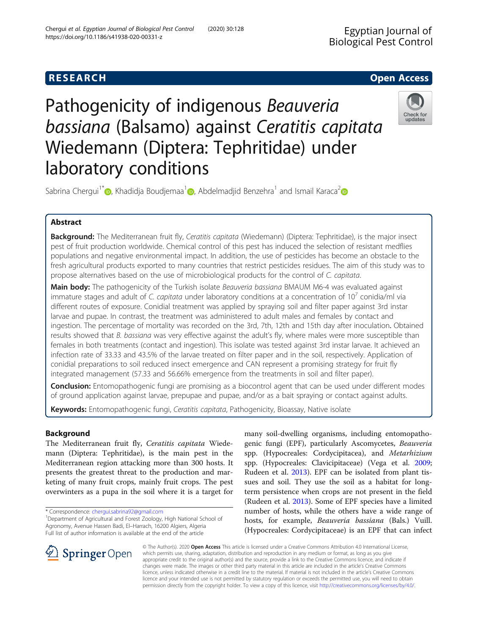# **RESEARCH CHEAR CHEAR CHEAR CHEAR CHEAR CHEAR CHEAR CHEAR CHEAR CHEAR CHEAR CHEAR CHEAR CHEAR CHEAR CHEAR CHEAR**

# Pathogenicity of indigenous Beauveria bassiana (Balsamo) against Ceratitis capitata Wiedemann (Diptera: Tephritidae) under laboratory conditions



Sabrina Chergui<sup>[1](https://orcid.org/0000-0001-6613-4093)\*</sup>  $\odot$ [,](http://orcid.org/0000-0002-7076-1556) Khadidja Boudjemaa<sup>1</sup>  $\odot$ , Abdelmadjid Benzehra<sup>1</sup> and Ismail Karaca<sup>2</sup>  $\odot$ 

# Abstract

Background: The Mediterranean fruit fly, Ceratitis capitata (Wiedemann) (Diptera: Tephritidae), is the major insect pest of fruit production worldwide. Chemical control of this pest has induced the selection of resistant medflies populations and negative environmental impact. In addition, the use of pesticides has become an obstacle to the fresh agricultural products exported to many countries that restrict pesticides residues. The aim of this study was to propose alternatives based on the use of microbiological products for the control of C. capitata.

Main body: The pathogenicity of the Turkish isolate Beauveria bassiana BMAUM M6-4 was evaluated against immature stages and adult of C. capitata under laboratory conditions at a concentration of  $10^7$  conidia/ml via different routes of exposure. Conidial treatment was applied by spraying soil and filter paper against 3rd instar larvae and pupae. In contrast, the treatment was administered to adult males and females by contact and ingestion. The percentage of mortality was recorded on the 3rd, 7th, 12th and 15th day after inoculation. Obtained results showed that B. bassiana was very effective against the adult's fly, where males were more susceptible than females in both treatments (contact and ingestion). This isolate was tested against 3rd instar larvae. It achieved an infection rate of 33.33 and 43.5% of the larvae treated on filter paper and in the soil, respectively. Application of conidial preparations to soil reduced insect emergence and CAN represent a promising strategy for fruit fly integrated management (57.33 and 56.66% emergence from the treatments in soil and filter paper).

**Conclusion:** Entomopathogenic fungi are promising as a biocontrol agent that can be used under different modes of ground application against larvae, prepupae and pupae, and/or as a bait spraying or contact against adults.

Keywords: Entomopathogenic fungi, Ceratitis capitata, Pathogenicity, Bioassay, Native isolate

# Background

The Mediterranean fruit fly, Ceratitis capitata Wiedemann (Diptera: Tephritidae), is the main pest in the Mediterranean region attacking more than 300 hosts. It presents the greatest threat to the production and marketing of many fruit crops, mainly fruit crops. The pest overwinters as a pupa in the soil where it is a target for

\* Correspondence: [chergui.sabrina92@gmail.com](mailto:chergui.sabrina92@gmail.com) <sup>1</sup>

many soil-dwelling organisms, including entomopathogenic fungi (EPF), particularly Ascomycetes, Beauveria spp. (Hypocreales: Cordycipitacea), and Metarhizium spp. (Hypocreales: Clavicipitaceae) (Vega et al. [2009](#page-6-0); Rudeen et al. [2013\)](#page-6-0). EPF can be isolated from plant tissues and soil. They use the soil as a habitat for longterm persistence when crops are not present in the field (Rudeen et al. [2013](#page-6-0)). Some of EPF species have a limited number of hosts, while the others have a wide range of hosts, for example, Beauveria bassiana (Bals.) Vuill. (Hypocreales: Cordycipitaceae) is an EPF that can infect



© The Author(s). 2020 Open Access This article is licensed under a Creative Commons Attribution 4.0 International License, which permits use, sharing, adaptation, distribution and reproduction in any medium or format, as long as you give appropriate credit to the original author(s) and the source, provide a link to the Creative Commons licence, and indicate if changes were made. The images or other third party material in this article are included in the article's Creative Commons licence, unless indicated otherwise in a credit line to the material. If material is not included in the article's Creative Commons licence and your intended use is not permitted by statutory regulation or exceeds the permitted use, you will need to obtain permission directly from the copyright holder. To view a copy of this licence, visit <http://creativecommons.org/licenses/by/4.0/>.

<sup>&</sup>lt;sup>1</sup>Department of Agricultural and Forest Zoology, High National School of Agronomy, Avenue Hassen Badi, El–Harrach, 16200 Algiers, Algeria Full list of author information is available at the end of the article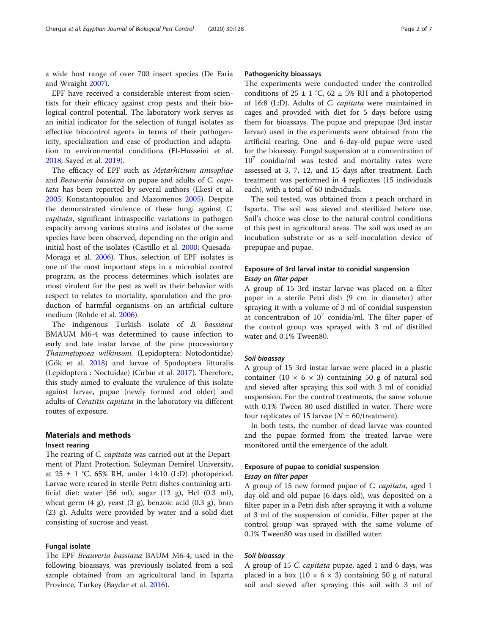a wide host range of over 700 insect species (De Faria and Wraight [2007\)](#page-6-0).

EPF have received a considerable interest from scientists for their efficacy against crop pests and their biological control potential. The laboratory work serves as an initial indicator for the selection of fungal isolates as effective biocontrol agents in terms of their pathogenicity, specialization and ease of production and adaptation to environmental conditions (El-Husseini et al. [2018](#page-6-0); Sayed et al. [2019\)](#page-6-0).

The efficacy of EPF such as Metarhizium anisopliae and Beauveria bassiana on pupae and adults of C. capitata has been reported by several authors (Ekesi et al. [2005](#page-6-0); Konstantopoulou and Mazomenos [2005](#page-6-0)). Despite the demonstrated virulence of these fungi against C. capitata, significant intraspecific variations in pathogen capacity among various strains and isolates of the same species have been observed, depending on the origin and initial host of the isolates (Castillo et al. [2000](#page-6-0); Quesada-Moraga et al. [2006](#page-6-0)). Thus, selection of EPF isolates is one of the most important steps in a microbial control program, as the process determines which isolates are most virulent for the pest as well as their behavior with respect to relates to mortality, sporulation and the production of harmful organisms on an artificial culture medium (Rohde et al. [2006\)](#page-6-0).

The indigenous Turkish isolate of B. bassiana BMAUM M6-4 was determined to cause infection to early and late instar larvae of the pine processionary Thaumetopoea wilkinsoni, (Lepidoptera: Notodontidae) (Gök et al. [2018](#page-6-0)) and larvae of Spodoptera littoralis (Lepidoptera : Noctuidae) (Cırbın et al. [2017\)](#page-6-0). Therefore, this study aimed to evaluate the virulence of this isolate against larvae, pupae (newly formed and older) and adults of Ceratitis capitata in the laboratory via different routes of exposure.

## Materials and methods

#### Insect rearing

The rearing of *C. capitata* was carried out at the Department of Plant Protection, Suleyman Demirel University, at  $25 \pm 1$  °C, 65% RH, under 14:10 (L:D) photoperiod. Larvae were reared in sterile Petri dishes containing artificial diet: water (56 ml), sugar (12 g), Hcl (0.3 ml), wheat germ  $(4 \text{ g})$ , yeast  $(3 \text{ g})$ , benzoic acid  $(0.3 \text{ g})$ , bran (23 g). Adults were provided by water and a solid diet consisting of sucrose and yeast.

### Fungal isolate

The EPF Beauveria bassiana BAUM M6-4, used in the following bioassays, was previously isolated from a soil sample obtained from an agricultural land in Isparta Province, Turkey (Baydar et al. [2016\)](#page-6-0).

#### Pathogenicity bioassays

The experiments were conducted under the controlled conditions of 25  $\pm$  1 °C, 62  $\pm$  5% RH and a photoperiod of 16:8 (L:D). Adults of C. capitata were maintained in cages and provided with diet for 5 days before using them for bioassays. The pupae and prepupae (3rd instar larvae) used in the experiments were obtained from the artificial rearing. One- and 6-day-old pupae were used for the bioassay. Fungal suspension at a concentration of  $10^7$  conidia/ml was tested and mortality rates were assessed at 3, 7, 12, and 15 days after treatment. Each treatment was performed in 4 replicates (15 individuals each), with a total of 60 individuals.

The soil tested, was obtained from a peach orchard in Isparta. The soil was sieved and sterilized before use. Soil's choice was close to the natural control conditions of this pest in agricultural areas. The soil was used as an incubation substrate or as a self-inoculation device of prepupae and pupae.

### Exposure of 3rd larval instar to conidial suspension Essay on filter paper

A group of 15 3rd instar larvae was placed on a filter paper in a sterile Petri dish (9 cm in diameter) after spraying it with a volume of 3 ml of conidial suspension at concentration of  $10<sup>7</sup>$  conidia/ml. The filter paper of the control group was sprayed with 3 ml of distilled water and 0.1% Tween80.

#### Soil bioassay

A group of 15 3rd instar larvae were placed in a plastic container  $(10 \times 6 \times 3)$  containing 50 g of natural soil and sieved after spraying this soil with 3 ml of conidial suspension. For the control treatments, the same volume with 0.1% Tween 80 used distilled in water. There were four replicates of 15 larvae  $(N = 60$ /treatment).

In both tests, the number of dead larvae was counted and the pupae formed from the treated larvae were monitored until the emergence of the adult.

### Exposure of pupae to conidial suspension Essay on filter paper

A group of 15 new formed pupae of C. capitata, aged 1 day old and old pupae (6 days old), was deposited on a filter paper in a Petri dish after spraying it with a volume of 3 ml of the suspension of conidia. Filter paper at the control group was sprayed with the same volume of 0.1% Tween80 was used in distilled water.

#### Soil bioassay

A group of 15 C. capitata pupae, aged 1 and 6 days, was placed in a box (10  $\times$  6  $\times$  3) containing 50 g of natural soil and sieved after spraying this soil with 3 ml of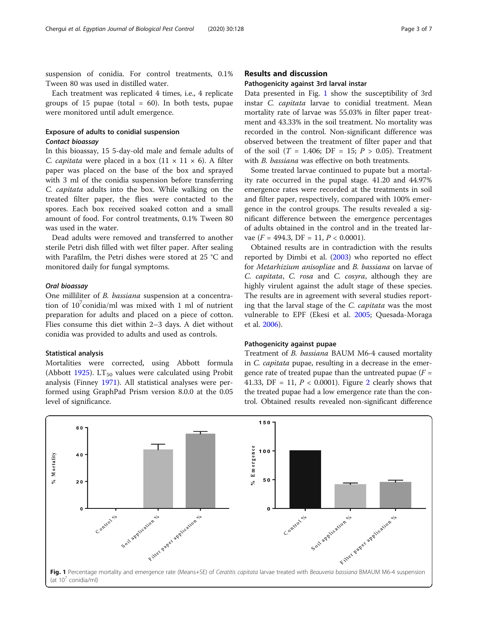suspension of conidia. For control treatments, 0.1% Tween 80 was used in distilled water.

Each treatment was replicated 4 times, i.e., 4 replicate groups of 15 pupae (total  $= 60$ ). In both tests, pupae were monitored until adult emergence.

# Exposure of adults to conidial suspension Contact bioassay

In this bioassay, 15 5-day-old male and female adults of C. *capitata* were placed in a box  $(11 \times 11 \times 6)$ . A filter paper was placed on the base of the box and sprayed with 3 ml of the conidia suspension before transferring C. capitata adults into the box. While walking on the treated filter paper, the flies were contacted to the spores. Each box received soaked cotton and a small amount of food. For control treatments, 0.1% Tween 80 was used in the water.

Dead adults were removed and transferred to another sterile Petri dish filled with wet filter paper. After sealing with Parafilm, the Petri dishes were stored at 25 °C and monitored daily for fungal symptoms.

#### Oral bioassay

One milliliter of B. bassiana suspension at a concentration of  $10^7$ conidia/ml was mixed with 1 ml of nutrient preparation for adults and placed on a piece of cotton. Flies consume this diet within 2–3 days. A diet without conidia was provided to adults and used as controls.

#### Statistical analysis

Mortalities were corrected, using Abbott formula (Abbott [1925\)](#page-6-0).  $LT_{50}$  values were calculated using Probit analysis (Finney [1971](#page-6-0)). All statistical analyses were performed using GraphPad Prism version 8.0.0 at the 0.05 level of significance.

#### Results and discussion

#### Pathogenicity against 3rd larval instar

Data presented in Fig. 1 show the susceptibility of 3rd instar C. capitata larvae to conidial treatment. Mean mortality rate of larvae was 55.03% in filter paper treatment and 43.33% in the soil treatment. No mortality was recorded in the control. Non-significant difference was observed between the treatment of filter paper and that of the soil ( $T = 1.406$ ; DF = 15;  $P > 0.05$ ). Treatment with *B. bassiana* was effective on both treatments.

Some treated larvae continued to pupate but a mortality rate occurred in the pupal stage. 41.20 and 44.97% emergence rates were recorded at the treatments in soil and filter paper, respectively, compared with 100% emergence in the control groups. The results revealed a significant difference between the emergence percentages of adults obtained in the control and in the treated larvae ( $F = 494.3$ , DF = 11,  $P < 0.0001$ ).

Obtained results are in contradiction with the results reported by Dimbi et al. ([2003](#page-6-0)) who reported no effect for Metarhizium anisopliae and B. bassiana on larvae of C. capitata, C. rosa and C. cosyra, although they are highly virulent against the adult stage of these species. The results are in agreement with several studies reporting that the larval stage of the C. capitata was the most vulnerable to EPF (Ekesi et al. [2005](#page-6-0); Quesada-Moraga et al. [2006\)](#page-6-0).

#### Pathogenicity against pupae

Treatment of B. bassiana BAUM M6-4 caused mortality in C. capitata pupae, resulting in a decrease in the emergence rate of treated pupae than the untreated pupae  $(F =$ 41.33, DF = 11,  $P < 0.0001$ ). Figure [2](#page-3-0) clearly shows that the treated pupae had a low emergence rate than the control. Obtained results revealed non-significant difference

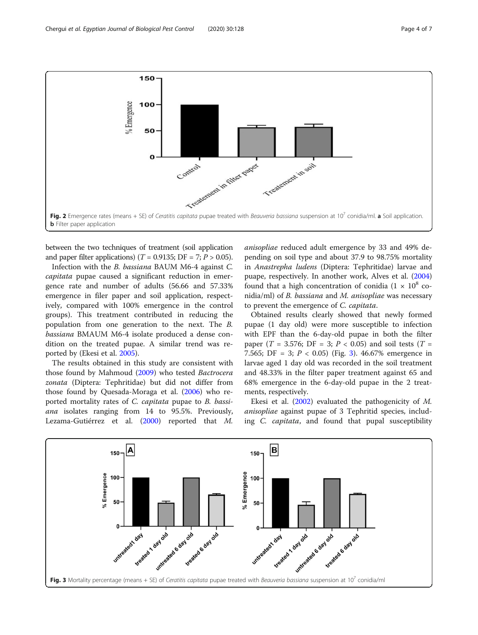<span id="page-3-0"></span>

between the two techniques of treatment (soil application and paper filter applications) ( $T = 0.9135$ ; DF = 7;  $P > 0.05$ ).

Infection with the B. bassiana BAUM M6-4 against C. capitata pupae caused a significant reduction in emergence rate and number of adults (56.66 and 57.33% emergence in filer paper and soil application, respectively, compared with 100% emergence in the control groups). This treatment contributed in reducing the population from one generation to the next. The B. bassiana BMAUM M6-4 isolate produced a dense condition on the treated pupae. A similar trend was reported by (Ekesi et al. [2005](#page-6-0)).

The results obtained in this study are consistent with those found by Mahmoud [\(2009\)](#page-6-0) who tested Bactrocera zonata (Diptera: Tephritidae) but did not differ from those found by Quesada-Moraga et al. ([2006](#page-6-0)) who reported mortality rates of C. capitata pupae to B. bassiana isolates ranging from 14 to 95.5%. Previously, Lezama-Gutiérrez et al. ([2000\)](#page-6-0) reported that M. anisopliae reduced adult emergence by 33 and 49% depending on soil type and about 37.9 to 98.75% mortality in Anastrepha ludens (Diptera: Tephritidae) larvae and puape, respectively. In another work, Alves et al. ([2004](#page-6-0)) found that a high concentration of conidia  $(1 \times 10^8$  conidia/ml) of B. bassiana and M. anisopliae was necessary to prevent the emergence of C. capitata.

Obtained results clearly showed that newly formed pupae (1 day old) were more susceptible to infection with EPF than the 6-day-old pupae in both the filter paper (T = 3.576; DF = 3;  $P < 0.05$ ) and soil tests (T = 7.565; DF = 3;  $P < 0.05$ ) (Fig. 3). 46.67% emergence in larvae aged 1 day old was recorded in the soil treatment and 48.33% in the filter paper treatment against 65 and 68% emergence in the 6-day-old pupae in the 2 treatments, respectively.

Ekesi et al. ([2002](#page-6-0)) evaluated the pathogenicity of M. anisopliae against pupae of 3 Tephritid species, including C. capitata, and found that pupal susceptibility

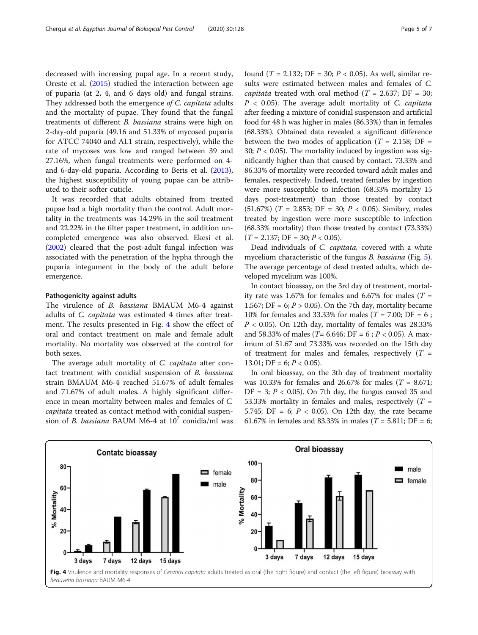decreased with increasing pupal age. In a recent study, Oreste et al. ([2015\)](#page-6-0) studied the interaction between age of puparia (at 2, 4, and 6 days old) and fungal strains. They addressed both the emergence of C. capitata adults and the mortality of pupae. They found that the fungal treatments of different B. bassiana strains were high on 2-day-old puparia (49.16 and 51.33% of mycosed puparia for ATCC 74040 and AL1 strain, respectively), while the rate of mycoses was low and ranged between 39 and 27.16%, when fungal treatments were performed on 4 and 6-day-old puparia. According to Beris et al. ([2013](#page-6-0)), the highest susceptibility of young pupae can be attributed to their softer cuticle.

It was recorded that adults obtained from treated pupae had a high mortality than the control. Adult mortality in the treatments was 14.29% in the soil treatment and 22.22% in the filter paper treatment, in addition uncompleted emergence was also observed. Ekesi et al. ([2002](#page-6-0)) cleared that the post-adult fungal infection was associated with the penetration of the hypha through the puparia integument in the body of the adult before emergence.

#### Pathogenicity against adults

The virulence of B. bassiana BMAUM M6-4 against adults of C. capitata was estimated 4 times after treatment. The results presented in Fig. 4 show the effect of oral and contact treatment on male and female adult mortality. No mortality was observed at the control for both sexes.

The average adult mortality of C. capitata after contact treatment with conidial suspension of B. bassiana strain BMAUM M6-4 reached 51.67% of adult females and 71.67% of adult males. A highly significant difference in mean mortality between males and females of C. capitata treated as contact method with conidial suspension of B. bassiana BAUM M6-4 at  $10^7$  conidia/ml was found (*T* = 2.132; DF = 30; *P* < 0.05). As well, similar results were estimated between males and females of C. *capitata* treated with oral method ( $T = 2.637$ ; DF = 30;  $P < 0.05$ ). The average adult mortality of C. capitata after feeding a mixture of conidial suspension and artificial food for 48 h was higher in males (86.33%) than in females (68.33%). Obtained data revealed a significant difference between the two modes of application ( $T = 2.158$ ; DF = 30;  $P < 0.05$ ). The mortality induced by ingestion was significantly higher than that caused by contact. 73.33% and 86.33% of mortality were recorded toward adult males and females, respectively. Indeed, treated females by ingestion were more susceptible to infection (68.33% mortality 15 days post-treatment) than those treated by contact  $(51.67%)$   $(T = 2.853; DF = 30; P < 0.05)$ . Similary, males treated by ingestion were more susceptible to infection (68.33% mortality) than those treated by contact (73.33%)  $(T = 2.137; DF = 30; P < 0.05).$ 

Dead individuals of C. capitata, covered with a white mycelium characteristic of the fungus *B. bassiana* (Fig. [5](#page-5-0)). The average percentage of dead treated adults, which developed mycelium was 100%.

In contact bioassay, on the 3rd day of treatment, mortality rate was 1.67% for females and 6.67% for males ( $T =$ 1.567; DF = 6;  $P > 0.05$ ). On the 7th day, mortality became 10% for females and 33.33% for males ( $T = 7.00$ ; DF = 6;  $P < 0.05$ ). On 12th day, mortality of females was 28.33% and 58.33% of males (*T*= 6.646; DF = 6 ; *P* < 0.05). A maximum of 51.67 and 73.33% was recorded on the 15th day of treatment for males and females, respectively  $(T =$ 13.01; DF = 6;  $P < 0.05$ ).

In oral bioassay, on the 3th day of treatment mortality was 10.33% for females and 26.67% for males ( $T = 8.671$ ;  $DF = 3$ ;  $P < 0.05$ ). On 7th day, the fungus caused 35 and 53.33% mortality in females and males, respectively ( $T =$ 5.745; DF = 6;  $P$  < 0.05). On 12th day, the rate became 61.67% in females and 83.33% in males ( $T = 5.811$ ; DF = 6;

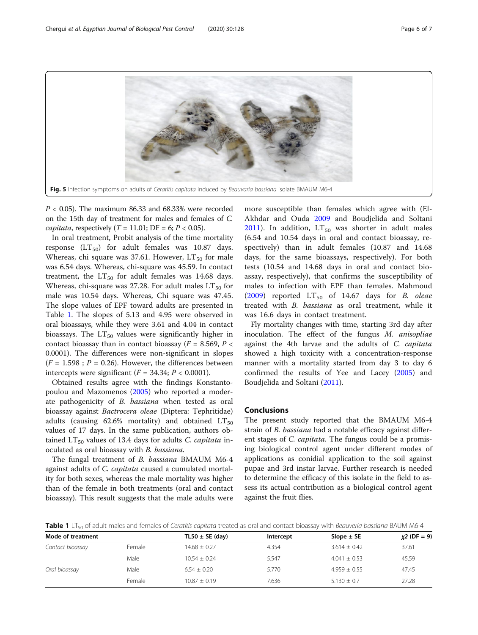<span id="page-5-0"></span>

 $P < 0.05$ ). The maximum 86.33 and 68.33% were recorded on the 15th day of treatment for males and females of C. *capitata*, respectively  $(T = 11.01; DF = 6; P < 0.05)$ .

In oral treatment, Probit analysis of the time mortality response  $(LT_{50})$  for adult females was 10.87 days. Whereas, chi square was 37.61. However,  $LT_{50}$  for male was 6.54 days. Whereas, chi-square was 45.59. In contact treatment, the  $LT_{50}$  for adult females was 14.68 days. Whereas, chi-square was 27.28. For adult males  $LT_{50}$  for male was 10.54 days. Whereas, Chi square was 47.45. The slope values of EPF toward adults are presented in Table 1. The slopes of 5.13 and 4.95 were observed in oral bioassays, while they were 3.61 and 4.04 in contact bioassays. The  $LT_{50}$  values were significantly higher in contact bioassay than in contact bioassay ( $F = 8.569$ ,  $P <$ 0.0001). The differences were non-significant in slopes  $(F = 1.598; P = 0.26)$ . However, the differences between intercepts were significant  $(F = 34.34; P < 0.0001)$ .

Obtained results agree with the findings Konstantopoulou and Mazomenos [\(2005\)](#page-6-0) who reported a moderate pathogenicity of B. bassiana when tested as oral bioassay against Bactrocera oleae (Diptera: Tephritidae) adults (causing 62.6% mortality) and obtained  $LT_{50}$ values of 17 days. In the same publication, authors obtained  $LT_{50}$  values of 13.4 days for adults C. capitata inoculated as oral bioassay with B. bassiana.

The fungal treatment of B. bassiana BMAUM M6-4 against adults of C. capitata caused a cumulated mortality for both sexes, whereas the male mortality was higher than of the female in both treatments (oral and contact bioassay). This result suggests that the male adults were

more susceptible than females which agree with (El-Akhdar and Ouda [2009](#page-6-0) and Boudjelida and Soltani [2011\)](#page-6-0). In addition,  $LT_{50}$  was shorter in adult males (6.54 and 10.54 days in oral and contact bioassay, respectively) than in adult females (10.87 and 14.68 days, for the same bioassays, respectively). For both tests (10.54 and 14.68 days in oral and contact bioassay, respectively), that confirms the susceptibility of males to infection with EPF than females. Mahmoud ([2009\)](#page-6-0) reported  $LT_{50}$  of 14.67 days for *B. oleae* treated with B. bassiana as oral treatment, while it was 16.6 days in contact treatment.

Fly mortality changes with time, starting 3rd day after inoculation. The effect of the fungus M. anisopliae against the 4th larvae and the adults of C. capitata showed a high toxicity with a concentration-response manner with a mortality started from day 3 to day 6 confirmed the results of Yee and Lacey [\(2005](#page-6-0)) and Boudjelida and Soltani [\(2011\)](#page-6-0).

#### Conclusions

The present study reported that the BMAUM M6-4 strain of B. bassiana had a notable efficacy against different stages of *C. capitata*. The fungus could be a promising biological control agent under different modes of applications as conidial application to the soil against pupae and 3rd instar larvae. Further research is needed to determine the efficacy of this isolate in the field to assess its actual contribution as a biological control agent against the fruit flies.

Table 1 LT<sub>50</sub> of adult males and females of Ceratitis capitata treated as oral and contact bioassay with Beauveria bassiana BAUM M6-4

| Mode of treatment |        | TL50 $\pm$ SE (day) | Intercept | Slope $\pm$ SE   | $x2$ (DF = 9) |
|-------------------|--------|---------------------|-----------|------------------|---------------|
| Contact bioassay  | Female | $14.68 \pm 0.27$    | 4.354     | $3.614 \pm 0.42$ | 37.61         |
|                   | Male   | $10.54 + 0.24$      | 5.547     | $4.041 \pm 0.53$ | 45.59         |
| Oral bioassay     | Male   | $6.54 \pm 0.20$     | 5.770     | $4.959 + 0.55$   | 47.45         |
|                   | Female | $10.87 \pm 0.19$    | 7.636     | $5.130 + 0.7$    | 27.28         |
|                   |        |                     |           |                  |               |